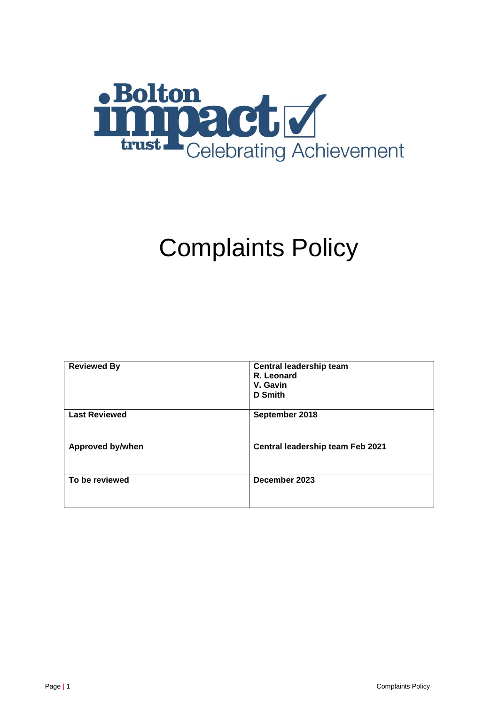

# Complaints Policy

| <b>Reviewed By</b>      | Central leadership team<br>R. Leonard<br>V. Gavin<br>D Smith |  |
|-------------------------|--------------------------------------------------------------|--|
| <b>Last Reviewed</b>    | September 2018                                               |  |
| <b>Approved by/when</b> | Central leadership team Feb 2021                             |  |
| To be reviewed          | December 2023                                                |  |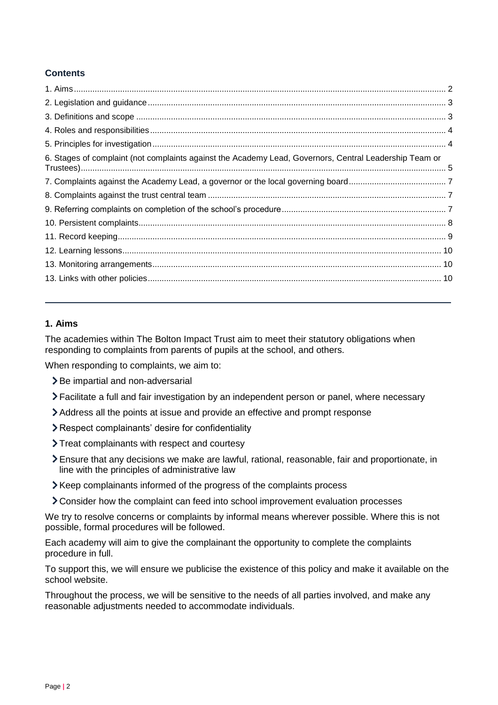# **Contents**

| 6. Stages of complaint (not complaints against the Academy Lead, Governors, Central Leadership Team or |  |
|--------------------------------------------------------------------------------------------------------|--|
|                                                                                                        |  |
|                                                                                                        |  |
|                                                                                                        |  |
|                                                                                                        |  |
|                                                                                                        |  |
|                                                                                                        |  |
|                                                                                                        |  |
|                                                                                                        |  |
|                                                                                                        |  |

# <span id="page-1-0"></span>**1. Aims**

The academies within The Bolton Impact Trust aim to meet their statutory obligations when responding to complaints from parents of pupils at the school, and others.

When responding to complaints, we aim to:

- > Be impartial and non-adversarial
- Facilitate a full and fair investigation by an independent person or panel, where necessary
- Address all the points at issue and provide an effective and prompt response
- Respect complainants' desire for confidentiality
- Treat complainants with respect and courtesy
- Ensure that any decisions we make are lawful, rational, reasonable, fair and proportionate, in line with the principles of administrative law
- Keep complainants informed of the progress of the complaints process
- Consider how the complaint can feed into school improvement evaluation processes

We try to resolve concerns or complaints by informal means wherever possible. Where this is not possible, formal procedures will be followed.

Each academy will aim to give the complainant the opportunity to complete the complaints procedure in full.

To support this, we will ensure we publicise the existence of this policy and make it available on the school website.

Throughout the process, we will be sensitive to the needs of all parties involved, and make any reasonable adjustments needed to accommodate individuals.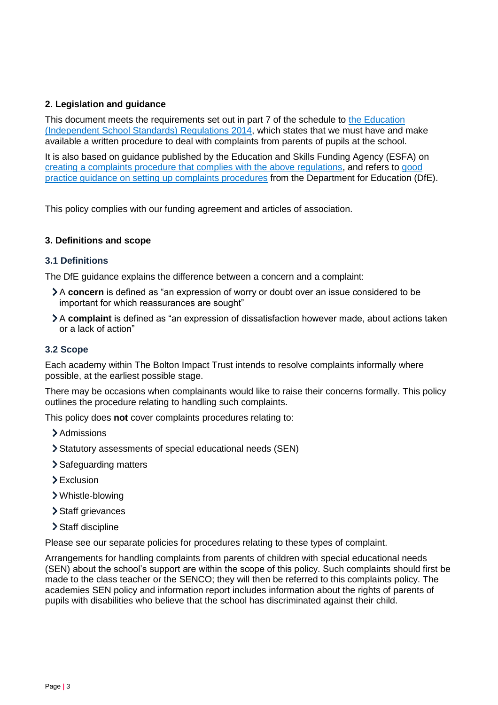# <span id="page-2-0"></span>**2. Legislation and guidance**

This document meets the requirements set out in part 7 of the schedule to the Education [\(Independent School Standards\) Regulations 2014,](http://www.legislation.gov.uk/uksi/2014/3283/schedule/made) which states that we must have and make available a written procedure to deal with complaints from parents of pupils at the school.

It is also based on guidance published by the Education and Skills Funding Agency (ESFA) on [creating a complaints procedure that complies with the above regulations,](https://www.gov.uk/government/publications/setting-up-an-academies-complaints-procedure) and refers to [good](https://www.gov.uk/government/publications/school-complaints-procedures)  [practice guidance on setting up complaints procedures](https://www.gov.uk/government/publications/school-complaints-procedures) from the Department for Education (DfE).

This policy complies with our funding agreement and articles of association.

# <span id="page-2-1"></span>**3. Definitions and scope**

## **3.1 Definitions**

The DfE guidance explains the difference between a concern and a complaint:

- A **concern** is defined as "an expression of worry or doubt over an issue considered to be important for which reassurances are sought"
- A **complaint** is defined as "an expression of dissatisfaction however made, about actions taken or a lack of action"

# **3.2 Scope**

Each academy within The Bolton Impact Trust intends to resolve complaints informally where possible, at the earliest possible stage.

There may be occasions when complainants would like to raise their concerns formally. This policy outlines the procedure relating to handling such complaints.

This policy does **not** cover complaints procedures relating to:

- > Admissions
- Statutory assessments of special educational needs (SEN)
- > Safeguarding matters
- > Exclusion
- Whistle-blowing
- > Staff grievances
- Staff discipline

Please see our separate policies for procedures relating to these types of complaint.

Arrangements for handling complaints from parents of children with special educational needs (SEN) about the school's support are within the scope of this policy. Such complaints should first be made to the class teacher or the SENCO; they will then be referred to this complaints policy. The academies SEN policy and information report includes information about the rights of parents of pupils with disabilities who believe that the school has discriminated against their child.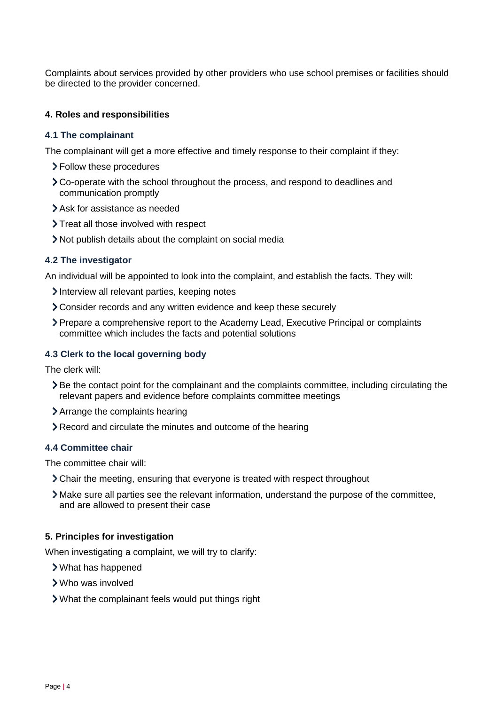Complaints about services provided by other providers who use school premises or facilities should be directed to the provider concerned.

## <span id="page-3-0"></span>**4. Roles and responsibilities**

#### **4.1 The complainant**

The complainant will get a more effective and timely response to their complaint if they:

- Follow these procedures
- Co-operate with the school throughout the process, and respond to deadlines and communication promptly
- Ask for assistance as needed
- > Treat all those involved with respect
- Not publish details about the complaint on social media

## **4.2 The investigator**

An individual will be appointed to look into the complaint, and establish the facts. They will:

- Interview all relevant parties, keeping notes
- Consider records and any written evidence and keep these securely
- Prepare a comprehensive report to the Academy Lead, Executive Principal or complaints committee which includes the facts and potential solutions

## **4.3 Clerk to the local governing body**

The clerk will:

- Be the contact point for the complainant and the complaints committee, including circulating the relevant papers and evidence before complaints committee meetings
- Arrange the complaints hearing
- Record and circulate the minutes and outcome of the hearing

#### **4.4 Committee chair**

The committee chair will:

- Chair the meeting, ensuring that everyone is treated with respect throughout
- Make sure all parties see the relevant information, understand the purpose of the committee, and are allowed to present their case

## <span id="page-3-1"></span>**5. Principles for investigation**

When investigating a complaint, we will try to clarify:

- What has happened
- Who was involved
- What the complainant feels would put things right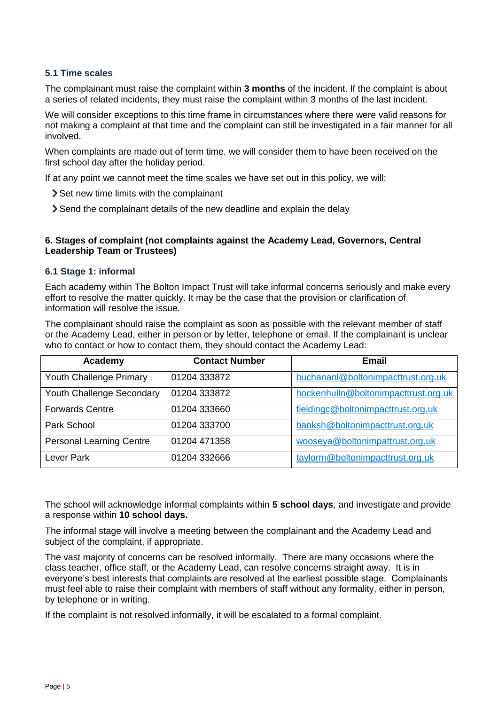## **5.1 Time scales**

The complainant must raise the complaint within **3 months** of the incident. If the complaint is about a series of related incidents, they must raise the complaint within 3 months of the last incident.

We will consider exceptions to this time frame in circumstances where there were valid reasons for not making a complaint at that time and the complaint can still be investigated in a fair manner for all involved.

When complaints are made out of term time, we will consider them to have been received on the first school day after the holiday period.

If at any point we cannot meet the time scales we have set out in this policy, we will:

- Set new time limits with the complainant
- Send the complainant details of the new deadline and explain the delay

#### <span id="page-4-0"></span>**6. Stages of complaint (not complaints against the Academy Lead, Governors, Central Leadership Team or Trustees)**

#### **6.1 Stage 1: informal**

Each academy within The Bolton Impact Trust will take informal concerns seriously and make every effort to resolve the matter quickly. It may be the case that the provision or clarification of information will resolve the issue.

The complainant should raise the complaint as soon as possible with the relevant member of staff or the Academy Lead, either in person or by letter, telephone or email. If the complainant is unclear who to contact or how to contact them, they should contact the Academy Lead:

| Academy                         | <b>Contact Number</b> | <b>Email</b>                         |
|---------------------------------|-----------------------|--------------------------------------|
| Youth Challenge Primary         | 01204 333872          | buchananl@boltonimpacttrust.org.uk   |
| Youth Challenge Secondary       | 01204 333872          | hockenhulln@boltonimpacttrust.org.uk |
| <b>Forwards Centre</b>          | 01204 333660          | fieldingc@boltonimpacttrust.org.uk   |
| Park School                     | 01204 333700          | banksh@boltonimpacttrust.org.uk      |
| <b>Personal Learning Centre</b> | 01204 471358          | wooseya@boltonimpattrust.org.uk      |
| Lever Park                      | 01204 332666          | taylorm@boltonimpacttrust.org.uk     |

The school will acknowledge informal complaints within **5 school days**, and investigate and provide a response within **10 school days.**

The informal stage will involve a meeting between the complainant and the Academy Lead and subject of the complaint, if appropriate.

The vast majority of concerns can be resolved informally. There are many occasions where the class teacher, office staff, or the Academy Lead, can resolve concerns straight away. It is in everyone's best interests that complaints are resolved at the earliest possible stage. Complainants must feel able to raise their complaint with members of staff without any formality, either in person, by telephone or in writing.

If the complaint is not resolved informally, it will be escalated to a formal complaint.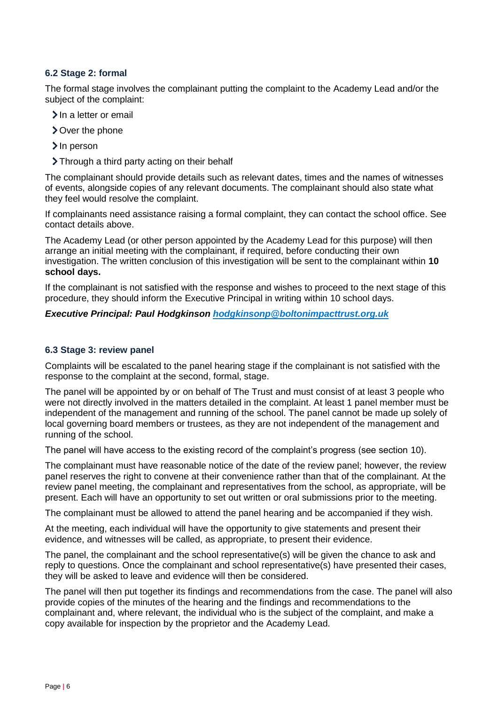# **6.2 Stage 2: formal**

The formal stage involves the complainant putting the complaint to the Academy Lead and/or the subject of the complaint:

- > In a letter or email
- Over the phone
- > In person
- > Through a third party acting on their behalf

The complainant should provide details such as relevant dates, times and the names of witnesses of events, alongside copies of any relevant documents. The complainant should also state what they feel would resolve the complaint.

If complainants need assistance raising a formal complaint, they can contact the school office. See contact details above.

The Academy Lead (or other person appointed by the Academy Lead for this purpose) will then arrange an initial meeting with the complainant, if required, before conducting their own investigation. The written conclusion of this investigation will be sent to the complainant within **10 school days.**

If the complainant is not satisfied with the response and wishes to proceed to the next stage of this procedure, they should inform the Executive Principal in writing within 10 school days.

## *Executive Principal: Paul Hodgkinson [hodgkinsonp@boltonimpacttrust.org.uk](mailto:hodgkinsonp@boltonimpacttrust.org.uk)*

#### **6.3 Stage 3: review panel**

Complaints will be escalated to the panel hearing stage if the complainant is not satisfied with the response to the complaint at the second, formal, stage.

The panel will be appointed by or on behalf of The Trust and must consist of at least 3 people who were not directly involved in the matters detailed in the complaint. At least 1 panel member must be independent of the management and running of the school. The panel cannot be made up solely of local governing board members or trustees, as they are not independent of the management and running of the school.

The panel will have access to the existing record of the complaint's progress (see section 10).

The complainant must have reasonable notice of the date of the review panel; however, the review panel reserves the right to convene at their convenience rather than that of the complainant. At the review panel meeting, the complainant and representatives from the school, as appropriate, will be present. Each will have an opportunity to set out written or oral submissions prior to the meeting.

The complainant must be allowed to attend the panel hearing and be accompanied if they wish.

At the meeting, each individual will have the opportunity to give statements and present their evidence, and witnesses will be called, as appropriate, to present their evidence.

The panel, the complainant and the school representative(s) will be given the chance to ask and reply to questions. Once the complainant and school representative(s) have presented their cases, they will be asked to leave and evidence will then be considered.

The panel will then put together its findings and recommendations from the case. The panel will also provide copies of the minutes of the hearing and the findings and recommendations to the complainant and, where relevant, the individual who is the subject of the complaint, and make a copy available for inspection by the proprietor and the Academy Lead.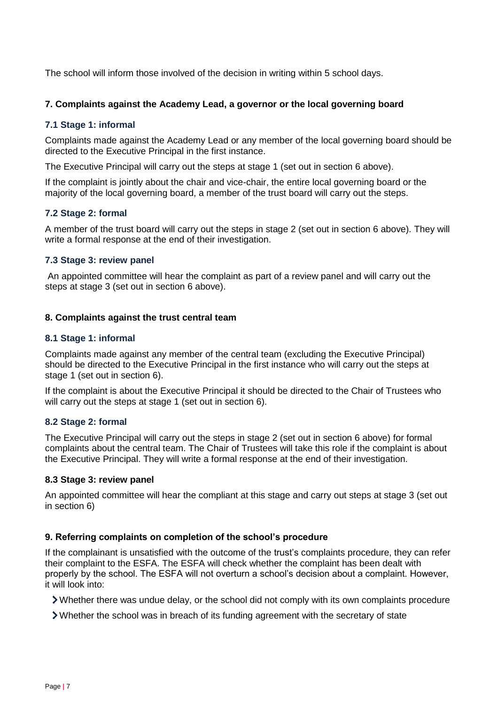The school will inform those involved of the decision in writing within 5 school days.

## <span id="page-6-0"></span>**7. Complaints against the Academy Lead, a governor or the local governing board**

## **7.1 Stage 1: informal**

Complaints made against the Academy Lead or any member of the local governing board should be directed to the Executive Principal in the first instance.

The Executive Principal will carry out the steps at stage 1 (set out in section 6 above).

If the complaint is jointly about the chair and vice-chair, the entire local governing board or the majority of the local governing board, a member of the trust board will carry out the steps.

## **7.2 Stage 2: formal**

A member of the trust board will carry out the steps in stage 2 (set out in section 6 above). They will write a formal response at the end of their investigation.

## **7.3 Stage 3: review panel**

An appointed committee will hear the complaint as part of a review panel and will carry out the steps at stage 3 (set out in section 6 above).

## <span id="page-6-1"></span>**8. Complaints against the trust central team**

## **8.1 Stage 1: informal**

Complaints made against any member of the central team (excluding the Executive Principal) should be directed to the Executive Principal in the first instance who will carry out the steps at stage 1 (set out in section 6).

If the complaint is about the Executive Principal it should be directed to the Chair of Trustees who will carry out the steps at stage 1 (set out in section 6).

#### **8.2 Stage 2: formal**

The Executive Principal will carry out the steps in stage 2 (set out in section 6 above) for formal complaints about the central team. The Chair of Trustees will take this role if the complaint is about the Executive Principal. They will write a formal response at the end of their investigation.

#### **8.3 Stage 3: review panel**

An appointed committee will hear the compliant at this stage and carry out steps at stage 3 (set out in section 6)

#### <span id="page-6-2"></span>**9. Referring complaints on completion of the school's procedure**

If the complainant is unsatisfied with the outcome of the trust's complaints procedure, they can refer their complaint to the ESFA. The ESFA will check whether the complaint has been dealt with properly by the school. The ESFA will not overturn a school's decision about a complaint. However, it will look into:

Whether there was undue delay, or the school did not comply with its own complaints procedure

Whether the school was in breach of its funding agreement with the secretary of state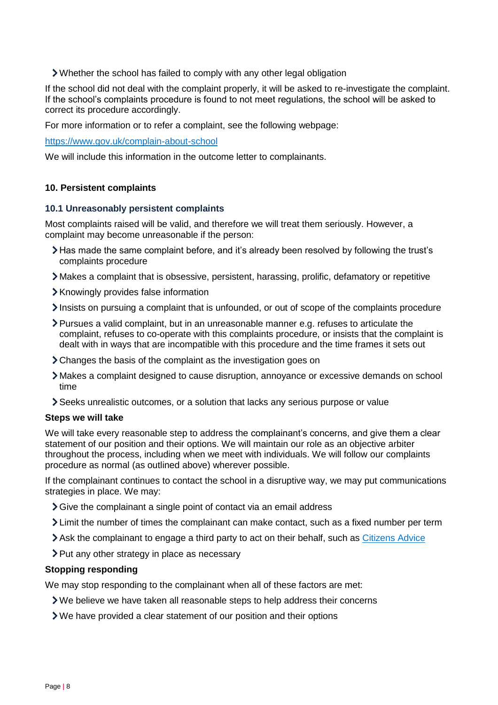Whether the school has failed to comply with any other legal obligation

If the school did not deal with the complaint properly, it will be asked to re-investigate the complaint. If the school's complaints procedure is found to not meet regulations, the school will be asked to correct its procedure accordingly.

For more information or to refer a complaint, see the following webpage:

<https://www.gov.uk/complain-about-school>

We will include this information in the outcome letter to complainants.

#### <span id="page-7-0"></span>**10. Persistent complaints**

#### **10.1 Unreasonably persistent complaints**

Most complaints raised will be valid, and therefore we will treat them seriously. However, a complaint may become unreasonable if the person:

- Has made the same complaint before, and it's already been resolved by following the trust's complaints procedure
- Makes a complaint that is obsessive, persistent, harassing, prolific, defamatory or repetitive
- Knowingly provides false information
- $\sum$  Insists on pursuing a complaint that is unfounded, or out of scope of the complaints procedure
- Pursues a valid complaint, but in an unreasonable manner e.g. refuses to articulate the complaint, refuses to co-operate with this complaints procedure, or insists that the complaint is dealt with in ways that are incompatible with this procedure and the time frames it sets out
- Changes the basis of the complaint as the investigation goes on
- Makes a complaint designed to cause disruption, annoyance or excessive demands on school time
- Seeks unrealistic outcomes, or a solution that lacks any serious purpose or value

#### **Steps we will take**

We will take every reasonable step to address the complainant's concerns, and give them a clear statement of our position and their options. We will maintain our role as an objective arbiter throughout the process, including when we meet with individuals. We will follow our complaints procedure as normal (as outlined above) wherever possible.

If the complainant continues to contact the school in a disruptive way, we may put communications strategies in place. We may:

- Sive the complainant a single point of contact via an email address
- Limit the number of times the complainant can make contact, such as a fixed number per term
- Ask the complainant to engage a third party to act on their behalf, such as [Citizens Advice](https://www.citizensadvice.org.uk/)
- > Put any other strategy in place as necessary

#### **Stopping responding**

We may stop responding to the complainant when all of these factors are met:

- We believe we have taken all reasonable steps to help address their concerns
- We have provided a clear statement of our position and their options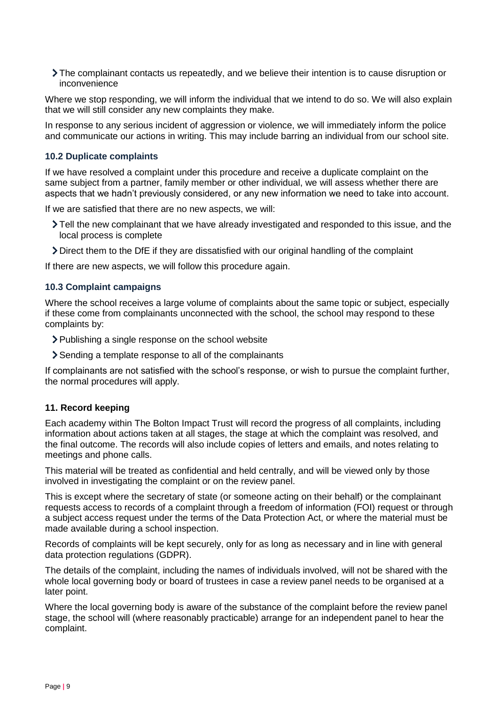The complainant contacts us repeatedly, and we believe their intention is to cause disruption or inconvenience

Where we stop responding, we will inform the individual that we intend to do so. We will also explain that we will still consider any new complaints they make.

In response to any serious incident of aggression or violence, we will immediately inform the police and communicate our actions in writing. This may include barring an individual from our school site.

## **10.2 Duplicate complaints**

If we have resolved a complaint under this procedure and receive a duplicate complaint on the same subject from a partner, family member or other individual, we will assess whether there are aspects that we hadn't previously considered, or any new information we need to take into account.

If we are satisfied that there are no new aspects, we will:

- Tell the new complainant that we have already investigated and responded to this issue, and the local process is complete
- Direct them to the DfE if they are dissatisfied with our original handling of the complaint

If there are new aspects, we will follow this procedure again.

## **10.3 Complaint campaigns**

Where the school receives a large volume of complaints about the same topic or subject, especially if these come from complainants unconnected with the school, the school may respond to these complaints by:

- Publishing a single response on the school website
- Sending a template response to all of the complainants

If complainants are not satisfied with the school's response, or wish to pursue the complaint further, the normal procedures will apply.

#### <span id="page-8-0"></span>**11. Record keeping**

Each academy within The Bolton Impact Trust will record the progress of all complaints, including information about actions taken at all stages, the stage at which the complaint was resolved, and the final outcome. The records will also include copies of letters and emails, and notes relating to meetings and phone calls.

This material will be treated as confidential and held centrally, and will be viewed only by those involved in investigating the complaint or on the review panel.

This is except where the secretary of state (or someone acting on their behalf) or the complainant requests access to records of a complaint through a freedom of information (FOI) request or through a subject access request under the terms of the Data Protection Act, or where the material must be made available during a school inspection.

Records of complaints will be kept securely, only for as long as necessary and in line with general data protection regulations (GDPR).

The details of the complaint, including the names of individuals involved, will not be shared with the whole local governing body or board of trustees in case a review panel needs to be organised at a later point.

Where the local governing body is aware of the substance of the complaint before the review panel stage, the school will (where reasonably practicable) arrange for an independent panel to hear the complaint.